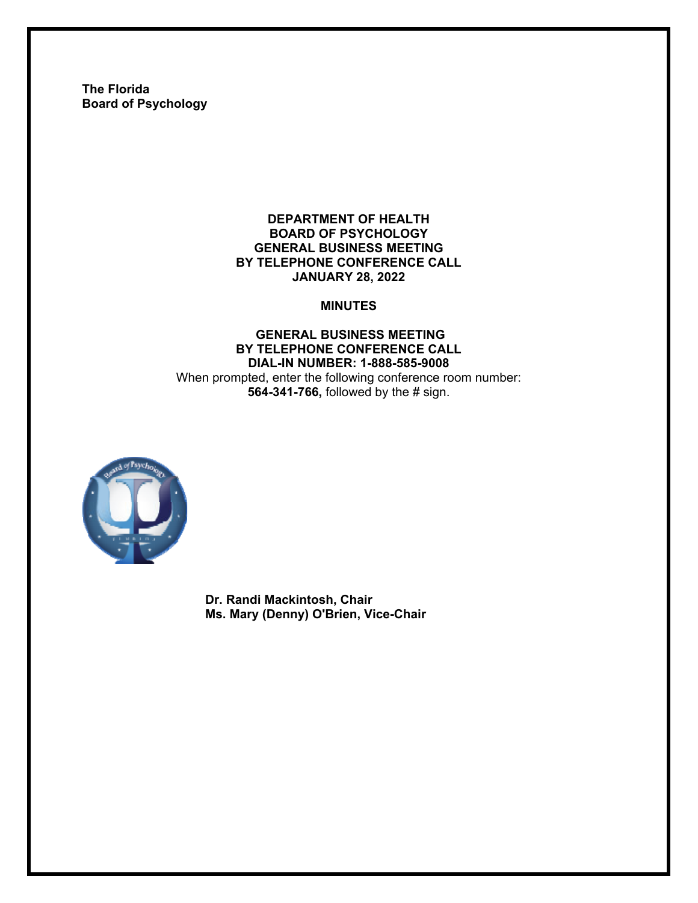**The Florida Board of Psychology** 

#### **DEPARTMENT OF HEALTH BOARD OF PSYCHOLOGY GENERAL BUSINESS MEETING BY TELEPHONE CONFERENCE CALL JANUARY 28, 2022**

#### **MINUTES**

#### **GENERAL BUSINESS MEETING BY TELEPHONE CONFERENCE CALL DIAL-IN NUMBER: 1-888-585-9008**  When prompted, enter the following conference room number: **564-341-766,** followed by the # sign.



**Dr. Randi Mackintosh, Chair Ms. Mary (Denny) O'Brien, Vice-Chair**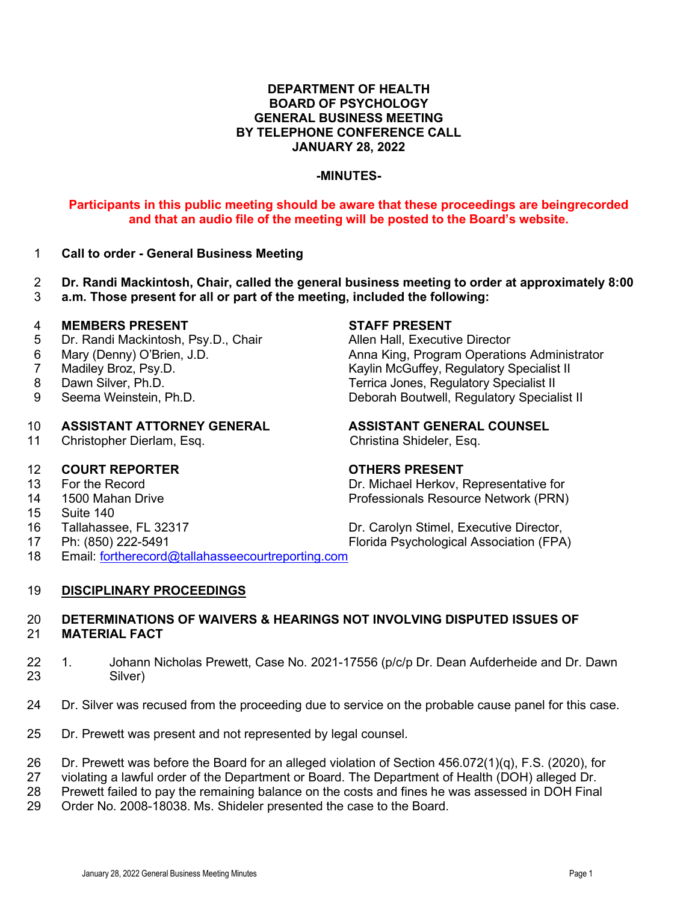#### **DEPARTMENT OF HEALTH BOARD OF PSYCHOLOGY GENERAL BUSINESS MEETING BY TELEPHONE CONFERENCE CALL JANUARY 28, 2022**

#### **-MINUTES-**

### **Participants in this public meeting should be aware that these proceedings are beingrecorded and that an audio file of the meeting will be posted to the Board's website.**

- 1 **Call to order General Business Meeting**
- 2 **Dr. Randi Mackintosh, Chair, called the general business meeting to order at approximately 8:00**
- a.m. Those present for all or part of the meeting, included the following:

- 4 **MEMBERS PRESENT**<br>5 Dr. Randi Mackintosh, Psy.D., Chair **State Allian Hall, Executiv** Dr. Randi Mackintosh, Psy.D., Chair **Allen Hall, Executive Director**
- 
- 
- 
- 

## 10 **ASSISTANT ATTORNEY GENERAL ASSISTANT GENERAL COUNSEL**<br>11 Christopher Dierlam, Esq. Christina Shideler, Esq.

11 Christopher Dierlam, Esq.

# 12 **COURT REPORTER COURT REPORTER COURT ALCORDING COURT ASSESSED TO A CONTROVER CONTROVER AND RESPONDENT OF A CONTROVER CONTROVER CONTROVER AND RESPONDENT OF A CONTROVER CONTROVER CONTROVER CONTROVER CONTROVER CONTROVE**

- 
- 
- 15 Suite 140
- 
- 

6 Mary (Denny) O'Brien, J.D. Anna King, Program Operations Administrator Kaylin McGuffey, Regulatory Specialist II 8 Dawn Silver, Ph.D. Terrica Jones, Regulatory Specialist II<br>9 Seema Weinstein, Ph.D. The Control of Deborah Boutwell, Regulatory Special 9 Seema Weinstein, Ph.D. *Deborah Boutwell, Regulatory Specialist II* 

Dr. Michael Herkov, Representative for 14 1500 Mahan Drive Professionals Resource Network (PRN)

16 Tallahassee, FL 32317 Dr. Carolyn Stimel, Executive Director, 17 Ph: (850) 222-5491 Florida Psychological Association (FPA)

18 Email: [fortherecord@tallahasseecourtreporting.com](mailto:fortherecord@tallahasseecourtreporting.com)

#### 19 **DISCIPLINARY PROCEEDINGS**

#### 20 **DETERMINATIONS OF WAIVERS & HEARINGS NOT INVOLVING DISPUTED ISSUES OF** 21 **MATERIAL FACT**

- 22 1. Johann Nicholas Prewett, Case No. 2021-17556 (p/c/p Dr. Dean Aufderheide and Dr. Dawn 23 Silver)
- 24 Dr. Silver was recused from the proceeding due to service on the probable cause panel for this case.
- 25 Dr. Prewett was present and not represented by legal counsel.

26 Dr. Prewett was before the Board for an alleged violation of Section 456.072(1)(q), F.S. (2020), for

27 violating a lawful order of the Department or Board. The Department of Health (DOH) alleged Dr.

28 Prewett failed to pay the remaining balance on the costs and fines he was assessed in DOH Final

29 Order No. 2008-18038. Ms. Shideler presented the case to the Board.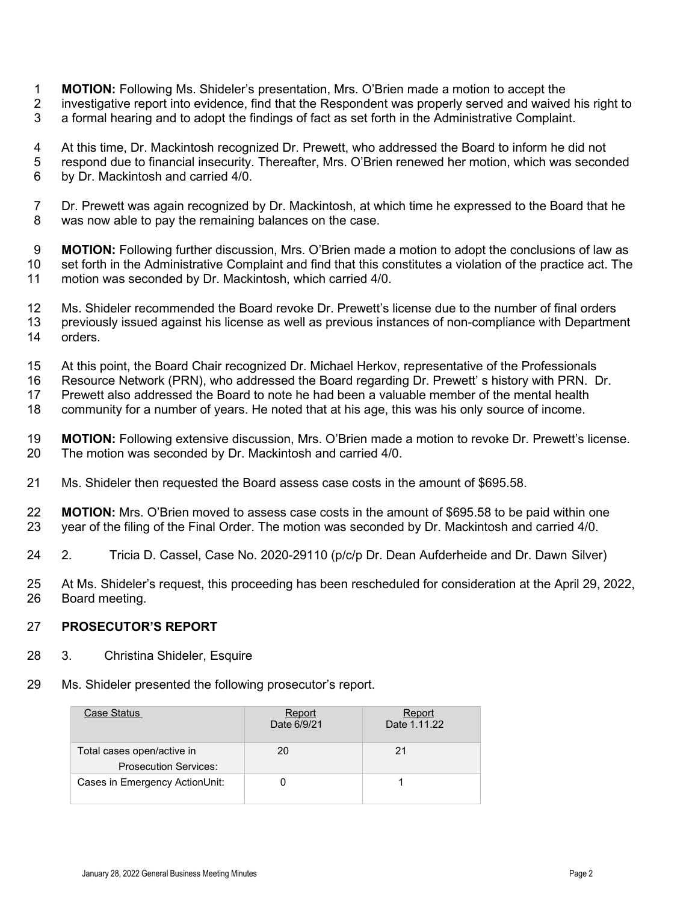- 1 **MOTION:** Following Ms. Shideler's presentation, Mrs. O'Brien made a motion to accept the
- 2 investigative report into evidence, find that the Respondent was properly served and waived his right to
- 3 a formal hearing and to adopt the findings of fact as set forth in the Administrative Complaint.
- 4 At this time, Dr. Mackintosh recognized Dr. Prewett, who addressed the Board to inform he did not
- 5 respond due to financial insecurity. Thereafter, Mrs. O'Brien renewed her motion, which was seconded 6 by Dr. Mackintosh and carried 4/0.
- 7 Dr. Prewett was again recognized by Dr. Mackintosh, at which time he expressed to the Board that he 8 was now able to pay the remaining balances on the case.

9 **MOTION:** Following further discussion, Mrs. O'Brien made a motion to adopt the conclusions of law as<br>10 set forth in the Administrative Complaint and find that this constitutes a violation of the practice act. The set forth in the Administrative Complaint and find that this constitutes a violation of the practice act. The 11 motion was seconded by Dr. Mackintosh, which carried 4/0.

- 12 Ms. Shideler recommended the Board revoke Dr. Prewett's license due to the number of final orders 13 previously issued against his license as well as previous instances of non-compliance with Department 14 orders.
- 15 At this point, the Board Chair recognized Dr. Michael Herkov, representative of the Professionals
- 16 Resource Network (PRN), who addressed the Board regarding Dr. Prewett' s history with PRN. Dr.
- 17 Prewett also addressed the Board to note he had been a valuable member of the mental health
- 18 community for a number of years. He noted that at his age, this was his only source of income.
- 19 **MOTION:** Following extensive discussion, Mrs. O'Brien made a motion to revoke Dr. Prewett's license.<br>20 The motion was seconded by Dr. Mackintosh and carried 4/0. The motion was seconded by Dr. Mackintosh and carried 4/0.
- 21 Ms. Shideler then requested the Board assess case costs in the amount of \$695.58.
- 22 **MOTION:** Mrs. O'Brien moved to assess case costs in the amount of \$695.58 to be paid within one<br>23 vear of the filing of the Final Order. The motion was seconded by Dr. Mackintosh and carried 4/0. year of the filing of the Final Order. The motion was seconded by Dr. Mackintosh and carried 4/0.
- 24 2. Tricia D. Cassel, Case No. 2020-29110 (p/c/p Dr. Dean Aufderheide and Dr. Dawn Silver)
- 25 At Ms. Shideler's request, this proceeding has been rescheduled for consideration at the April 29, 2022, 26 Board meeting.

### 27 **PROSECUTOR'S REPORT**

- 28 3. Christina Shideler, Esquire
- 29 Ms. Shideler presented the following prosecutor's report.

| Case Status                                                | Report<br>Date 6/9/21 | Report<br>Date 1.11.22 |
|------------------------------------------------------------|-----------------------|------------------------|
| Total cases open/active in<br><b>Prosecution Services:</b> | 20                    | 21                     |
| Cases in Emergency ActionUnit:                             |                       |                        |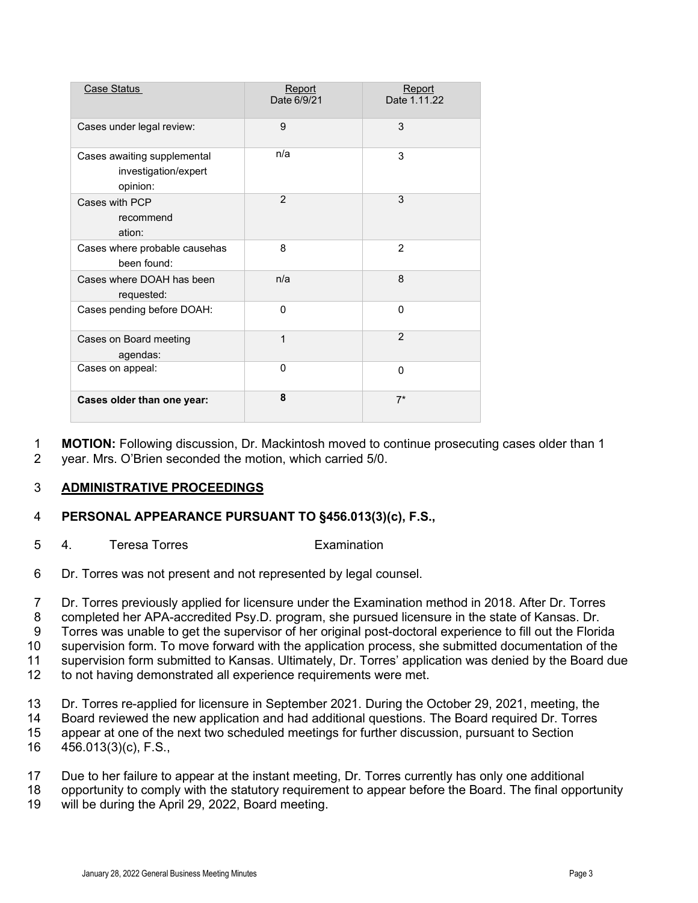| Case Status                                                     | Report<br>Date 6/9/21 | Report<br>Date 1.11.22 |
|-----------------------------------------------------------------|-----------------------|------------------------|
| Cases under legal review:                                       | 9                     | 3                      |
| Cases awaiting supplemental<br>investigation/expert<br>opinion: | n/a                   | 3                      |
| Cases with PCP<br>recommend<br>ation:                           | $\overline{2}$        | 3                      |
| Cases where probable causehas<br>been found:                    | 8                     | $\overline{2}$         |
| Cases where DOAH has been<br>requested:                         | n/a                   | 8                      |
| Cases pending before DOAH:                                      | $\Omega$              | $\Omega$               |
| Cases on Board meeting<br>agendas:                              | 1                     | $\overline{2}$         |
| Cases on appeal:                                                | $\Omega$              | $\mathbf{0}$           |
| Cases older than one year:                                      | 8                     | $7*$                   |

1 **MOTION:** Following discussion, Dr. Mackintosh moved to continue prosecuting cases older than 1<br>2 vear. Mrs. O'Brien seconded the motion. which carried 5/0. year. Mrs. O'Brien seconded the motion, which carried 5/0.

### 3 **ADMINISTRATIVE PROCEEDINGS**

#### 4 **PERSONAL APPEARANCE PURSUANT TO §456.013(3)(c), F.S.,**

- 5 4. Teresa Torres Examination
- 6 Dr. Torres was not present and not represented by legal counsel.

7 Dr. Torres previously applied for licensure under the Examination method in 2018. After Dr. Torres

8 completed her APA-accredited Psy.D. program, she pursued licensure in the state of Kansas. Dr.

9 Torres was unable to get the supervisor of her original post-doctoral experience to fill out the Florida

10 supervision form. To move forward with the application process, she submitted documentation of the

11 supervision form submitted to Kansas. Ultimately, Dr. Torres' application was denied by the Board due<br>12 to not having demonstrated all experience requirements were met

- to not having demonstrated all experience requirements were met.
- 13 Dr. Torres re-applied for licensure in September 2021. During the October 29, 2021, meeting, the
- 14 Board reviewed the new application and had additional questions. The Board required Dr. Torres
- 15 appear at one of the next two scheduled meetings for further discussion, pursuant to Section 16 456.013(3)(c), F.S.,
- 17 Due to her failure to appear at the instant meeting, Dr. Torres currently has only one additional
- 18 opportunity to comply with the statutory requirement to appear before the Board. The final opportunity
- 19 will be during the April 29, 2022, Board meeting.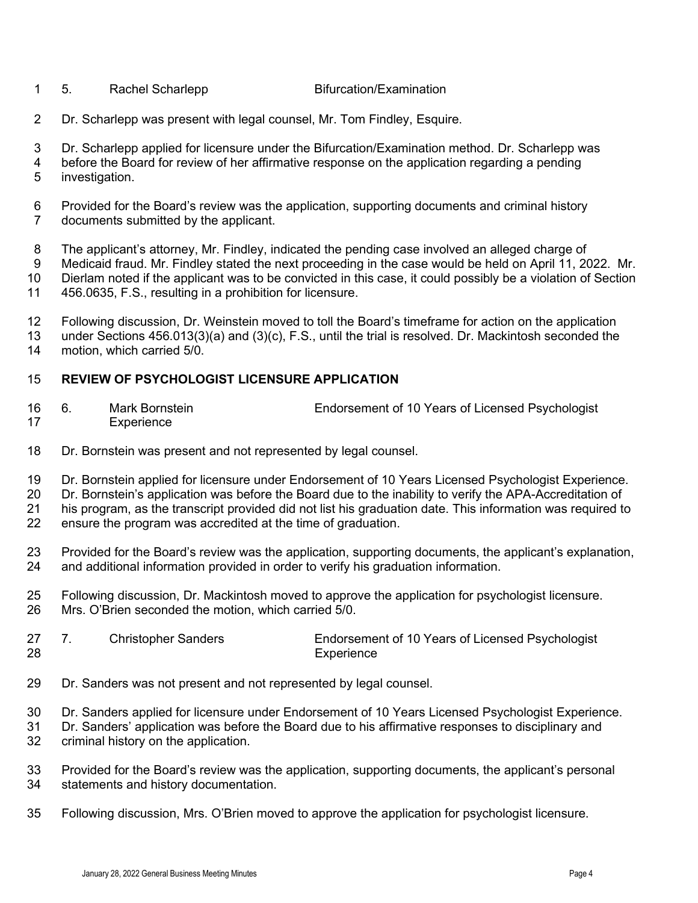- 1 5. Rachel Scharlepp Bifurcation/Examination
	-
- Dr. Scharlepp was present with legal counsel, Mr. Tom Findley, Esquire.
- Dr. Scharlepp applied for licensure under the Bifurcation/Examination method. Dr. Scharlepp was
- 4 before the Board for review of her affirmative response on the application regarding a pending<br>5 investigation. investigation.
- Provided for the Board's review was the application, supporting documents and criminal history documents submitted by the applicant.
- 8 The applicant's attorney, Mr. Findley, indicated the pending case involved an alleged charge of 8<br>8 Medicaid fraud. Mr. Findley stated the next proceeding in the case would be held on April 11, 20 Medicaid fraud. Mr. Findley stated the next proceeding in the case would be held on April 11, 2022. Mr. Dierlam noted if the applicant was to be convicted in this case, it could possibly be a violation of Section 456.0635, F.S., resulting in a prohibition for licensure.
- Following discussion, Dr. Weinstein moved to toll the Board's timeframe for action on the application
- under Sections 456.013(3)(a) and (3)(c), F.S., until the trial is resolved. Dr. Mackintosh seconded the motion, which carried 5/0.

### **REVIEW OF PSYCHOLOGIST LICENSURE APPLICATION**

- 6. Mark Bornstein Endorsement of 10 Years of Licensed Psychologist Experience
- Dr. Bornstein was present and not represented by legal counsel.
- Dr. Bornstein applied for licensure under Endorsement of 10 Years Licensed Psychologist Experience.
- Dr. Bornstein's application was before the Board due to the inability to verify the APA-Accreditation of his program, as the transcript provided did not list his graduation date. This information was required to
- ensure the program was accredited at the time of graduation.
- Provided for the Board's review was the application, supporting documents, the applicant's explanation, and additional information provided in order to verify his graduation information.
- Following discussion, Dr. Mackintosh moved to approve the application for psychologist licensure. Mrs. O'Brien seconded the motion, which carried 5/0.
- 27 7. Christopher Sanders Endorsement of 10 Years of Licensed Psychologist 28 Experience
- Dr. Sanders was not present and not represented by legal counsel.
- Dr. Sanders applied for licensure under Endorsement of 10 Years Licensed Psychologist Experience.
- Dr. Sanders' application was before the Board due to his affirmative responses to disciplinary and criminal history on the application.
- Provided for the Board's review was the application, supporting documents, the applicant's personal statements and history documentation.
- Following discussion, Mrs. O'Brien moved to approve the application for psychologist licensure.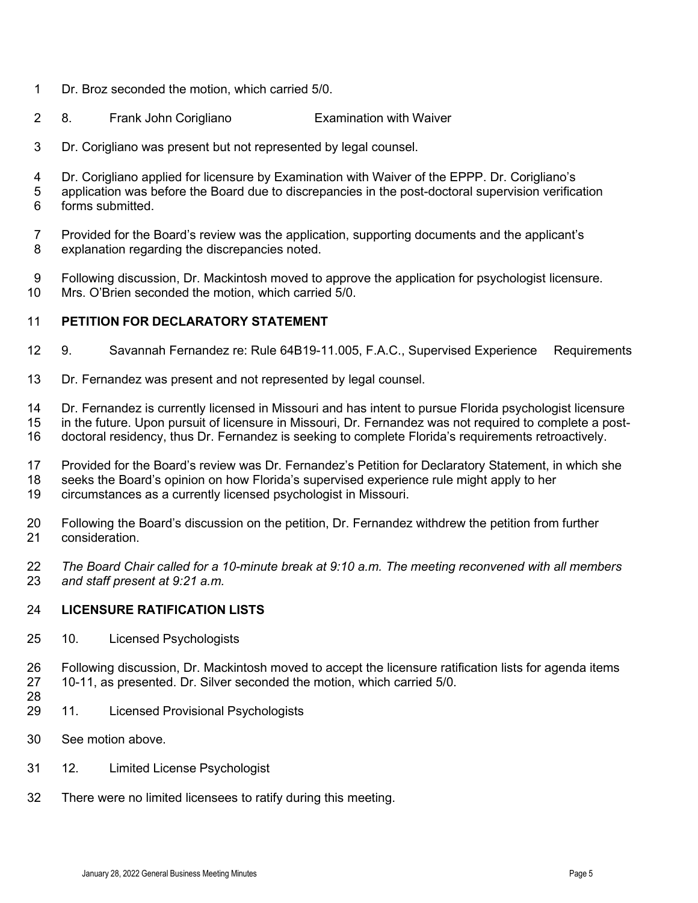- Dr. Broz seconded the motion, which carried 5/0.
- 8. Frank John Corigliano Examination with Waiver
- Dr. Corigliano was present but not represented by legal counsel.
- Dr. Corigliano applied for licensure by Examination with Waiver of the EPPP. Dr. Corigliano's
- application was before the Board due to discrepancies in the post-doctoral supervision verification forms submitted.
- Provided for the Board's review was the application, supporting documents and the applicant's explanation regarding the discrepancies noted.
- Following discussion, Dr. Mackintosh moved to approve the application for psychologist licensure. Mrs. O'Brien seconded the motion, which carried 5/0.

#### **PETITION FOR DECLARATORY STATEMENT**

- 9. Savannah Fernandez re: Rule 64B19-11.005, F.A.C., Supervised Experience Requirements
- Dr. Fernandez was present and not represented by legal counsel.
- Dr. Fernandez is currently licensed in Missouri and has intent to pursue Florida psychologist licensure
- in the future. Upon pursuit of licensure in Missouri, Dr. Fernandez was not required to complete a post-
- doctoral residency, thus Dr. Fernandez is seeking to complete Florida's requirements retroactively.
- Provided for the Board's review was Dr. Fernandez's Petition for Declaratory Statement, in which she
- seeks the Board's opinion on how Florida's supervised experience rule might apply to her
- circumstances as a currently licensed psychologist in Missouri.
- Following the Board's discussion on the petition, Dr. Fernandez withdrew the petition from further consideration.
- *The Board Chair called for a 10-minute break at 9:10 a.m. The meeting reconvened with all members and staff present at 9:21 a.m.*

#### **LICENSURE RATIFICATION LISTS**

- 10. Licensed Psychologists
- Following discussion, Dr. Mackintosh moved to accept the licensure ratification lists for agenda items 10-11, as presented. Dr. Silver seconded the motion, which carried 5/0.
- 
- 11. Licensed Provisional Psychologists
- See motion above.
- 12. Limited License Psychologist
- There were no limited licensees to ratify during this meeting.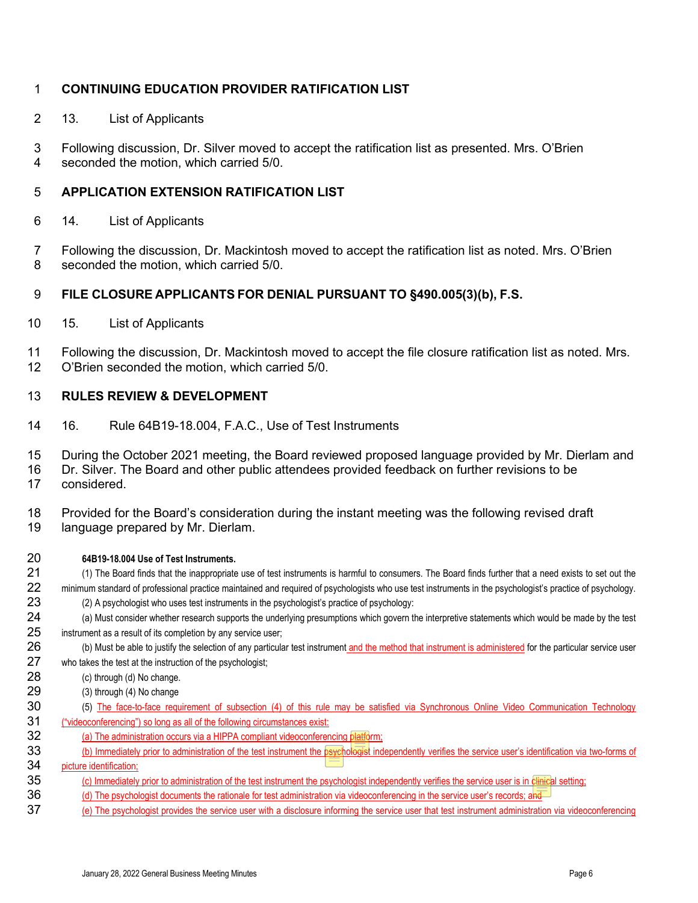### **CONTINUING EDUCATION PROVIDER RATIFICATION LIST**

- 2 13. List of Applicants
- 3 Following discussion, Dr. Silver moved to accept the ratification list as presented. Mrs. O'Brien<br>4 seconded the motion which carried 5/0 seconded the motion, which carried 5/0.

#### **APPLICATION EXTENSION RATIFICATION LIST**

- 6 14. List of Applicants
- 7 Following the discussion, Dr. Mackintosh moved to accept the ratification list as noted. Mrs. O'Brien 8 seconded the motion, which carried 5/0.

### **FILE CLOSURE APPLICANTS FOR DENIAL PURSUANT TO §490.005(3)(b), F.S.**

- 15. List of Applicants
- Following the discussion, Dr. Mackintosh moved to accept the file closure ratification list as noted. Mrs. O'Brien seconded the motion, which carried 5/0.

#### **RULES REVIEW & DEVELOPMENT**

16. Rule 64B19-18.004, F.A.C., Use of Test Instruments

During the October 2021 meeting, the Board reviewed proposed language provided by Mr. Dierlam and

- Dr. Silver. The Board and other public attendees provided feedback on further revisions to be considered.
- Provided for the Board's consideration during the instant meeting was the following revised draft language prepared by Mr. Dierlam.
- **64B19-18.004 Use of Test Instruments.** (1) The Board finds that the inappropriate use of test instruments is harmful to consumers. The Board finds further that a need exists to set out the minimum standard of professional practice maintained and required of psychologists who use test instruments in the psychologist's practice of psychology. (2) A psychologist who uses test instruments in the psychologist's practice of psychology: (a) Must consider whether research supports the underlying presumptions which govern the interpretive statements which would be made by the test 25 instrument as a result of its completion by any service user; 26 (b) Must be able to justify the selection of any particular test instrument and the method that instrument is administered for the particular service user who takes the test at the instruction of the psychologist; 28 (c) through (d) No change. (3) through (4) No change 30 (5) The face-to-face requirement of subsection (4) of this rule may be satisfied via Synchronous Online Video Communication Technology ("videoconferencing") so long as all of the following circumstances exist: 32 (a) The administration occurs via a HIPPA compliant videoconferencing platform; 33 (b) Immediately prior to administration of the test instrument the psychologist independently verifies the service user's identification via two-forms of picture identification; 35 (c) Immediately prior to administration of the test instrument the psychologist independently verifies the service user is in clinical setting; 36 (d) The psychologist documents the rationale for test administration via videoconferencing in the service user's records; and (e) The psychologist provides the service user with a disclosure informing the service user that test instrument administration via videoconferencing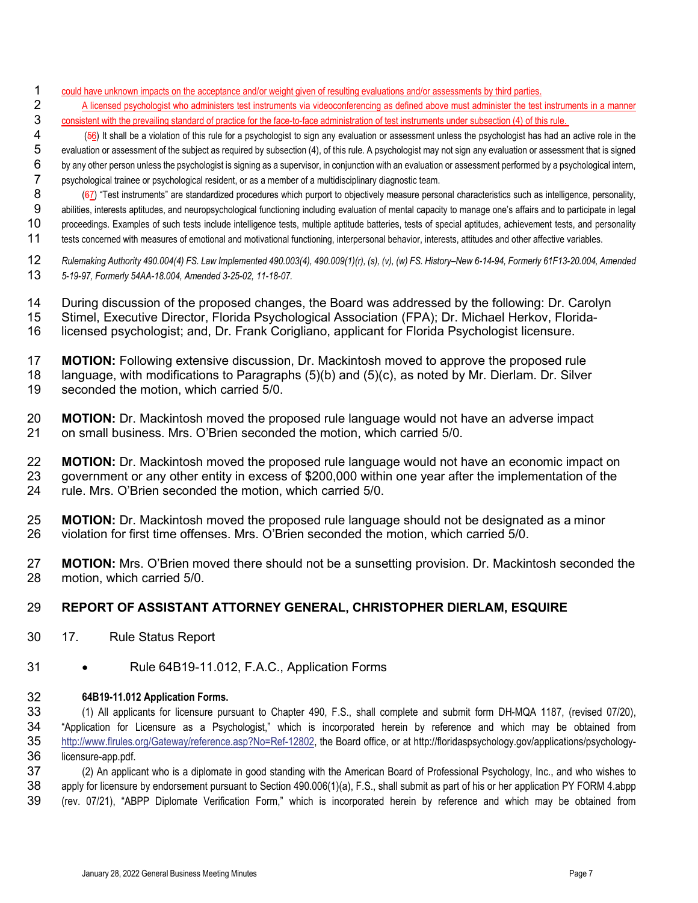- 1 could have unknown impacts on the acceptance and/or weight given of resulting evaluations and/or assessments by third parties.
- 2 A licensed psychologist who administers test instruments via videoconferencing as defined above must administer the test instruments in a manner<br>3 consistent with the prevailing standard of practice for the face-to-face consistent with the prevailing standard of practice for the face-to-face administration of test instruments under subsection (4) of this rule.

(56) It shall be a violation of this rule for a psychologist to sign any evaluation or assessment unless the psychologist has had an active role in the evaluation or assessment of the subject as required by subsection (4), of this rule. A psychologist may not sign any evaluation or assessment that is signed by any other person unless the psychologist is signing as a supervisor, in conjunction with an evaluation or assessment performed by a psychological intern, psychological trainee or psychological resident, or as a member of a multidisciplinary diagnostic team.

8 (67) "Test instruments" are standardized procedures which purport to objectively measure personal characteristics such as intelligence, personality, abilities, interests aptitudes, and neuropsychological functioning including evaluation of mental capacity to manage one's affairs and to participate in legal proceedings. Examples of such tests include intelligence tests, multiple aptitude batteries, tests of special aptitudes, achievement tests, and personality 11 tests concerned with measures of emotional and motivational functioning, interpersonal behavior, interests, attitudes and other affective variables.

- *Rulemaking Authority 490.004(4) FS. Law Implemented 490.003(4), 490.009(1)(r), (s), (v), (w) FS. History–New 6-14-94, Formerly 61F13-20.004, Amended 5-19-97, Formerly 54AA-18.004, Amended 3-25-02, 11-18-07.*
- During discussion of the proposed changes, the Board was addressed by the following: Dr. Carolyn
- Stimel, Executive Director, Florida Psychological Association (FPA); Dr. Michael Herkov, Florida-
- licensed psychologist; and, Dr. Frank Corigliano, applicant for Florida Psychologist licensure.
- 17 **MOTION:** Following extensive discussion, Dr. Mackintosh moved to approve the proposed rule<br>18 Ianguage, with modifications to Paragraphs (5)(b) and (5)(c), as noted by Mr. Dierlam. Dr. Silver language, with modifications to Paragraphs (5)(b) and (5)(c), as noted by Mr. Dierlam. Dr. Silver seconded the motion, which carried 5/0.
- **MOTION:** Dr. Mackintosh moved the proposed rule language would not have an adverse impact 21 on small business. Mrs. O'Brien seconded the motion, which carried 5/0. on small business. Mrs. O'Brien seconded the motion, which carried 5/0.
- 22 **MOTION:** Dr. Mackintosh moved the proposed rule language would not have an economic impact on<br>23 aovernment or any other entity in excess of \$200,000 within one vear after the implementation of the government or any other entity in excess of \$200,000 within one year after the implementation of the rule. Mrs. O'Brien seconded the motion, which carried 5/0.
- 25 **MOTION:** Dr. Mackintosh moved the proposed rule language should not be designated as a minor<br>26 violation for first time offenses. Mrs. O'Brien seconded the motion, which carried 5/0. violation for first time offenses. Mrs. O'Brien seconded the motion, which carried 5/0.
- **MOTION:** Mrs. O'Brien moved there should not be a sunsetting provision. Dr. Mackintosh seconded the motion, which carried 5/0.

### **REPORT OF ASSISTANT ATTORNEY GENERAL, CHRISTOPHER DIERLAM, ESQUIRE**

- 17. Rule Status Report
- Rule 64B19-11.012, F.A.C., Application Forms

#### **64B19-11.012 Application Forms.**

 (1) All applicants for licensure pursuant to Chapter 490, F.S., shall complete and submit form DH-MQA 1187, (revised 07/20), "Application for Licensure as a Psychologist," which is incorporated herein by reference and which may be obtained from [http://www.flrules.org/Gateway/reference.asp?No=Ref-12802,](http://www.flrules.org/Gateway/reference.asp?No=Ref-12802) the Board office, or at http://floridaspsychology.gov/applications/psychology-licensure-app.pdf.

 (2) An applicant who is a diplomate in good standing with the American Board of Professional Psychology, Inc., and who wishes to apply for licensure by endorsement pursuant to Section 490.006(1)(a), F.S., shall submit as part of his or her application PY FORM 4.abpp (rev. 07/21), "ABPP Diplomate Verification Form," which is incorporated herein by reference and which may be obtained from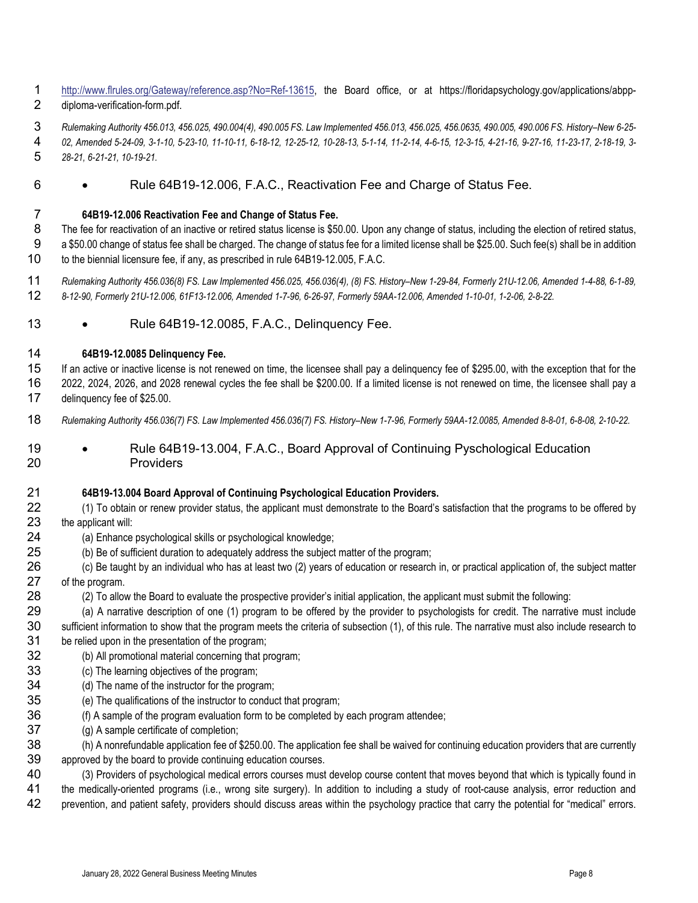- [http://www.flrules.org/Gateway/reference.asp?No=Ref-13615,](http://www.flrules.org/Gateway/reference.asp?No=Ref-13615) the Board office, or at https://floridapsychology.gov/applications/abpp-diploma-verification-form.pdf.
- *Rulemaking Authority 456.013, 456.025, 490.004(4), 490.005 FS. Law Implemented 456.013, 456.025, 456.0635, 490.005, 490.006 FS. History–New 6-25-*
- *02, Amended 5-24-09, 3-1-10, 5-23-10, 11-10-11, 6-18-12, 12-25-12, 10-28-13, 5-1-14, 11-2-14, 4-6-15, 12-3-15, 4-21-16, 9-27-16, 11-23-17, 2-18-19, 3- 28-21, 6-21-21, 10-19-21.*
- Rule 64B19-12.006, F.A.C., Reactivation Fee and Charge of Status Fee.
- **64B19-12.006 Reactivation Fee and Change of Status Fee.**
- The fee for reactivation of an inactive or retired status license is \$50.00. Upon any change of status, including the election of retired status, a \$50.00 change of status fee shall be charged. The change of status fee for a limited license shall be \$25.00. Such fee(s) shall be in addition to the biennial licensure fee, if any, as prescribed in rule 64B19-12.005, F.A.C.
- *Rulemaking Authority 456.036(8) FS. Law Implemented 456.025, 456.036(4), (8) FS. History–New 1-29-84, Formerly 21U-12.06, Amended 1-4-88, 6-1-89, 8-12-90, Formerly 21U-12.006, 61F13-12.006, Amended 1-7-96, 6-26-97, Formerly 59AA-12.006, Amended 1-10-01, 1-2-06, 2-8-22.*
- 13 Rule 64B19-12.0085, F.A.C., Delinquency Fee.
- **64B19-12.0085 Delinquency Fee.**
- If an active or inactive license is not renewed on time, the licensee shall pay a delinquency fee of \$295.00, with the exception that for the 2022, 2024, 2026, and 2028 renewal cycles the fee shall be \$200.00. If a limited license is not renewed on time, the licensee shall pay a delinquency fee of \$25.00.
- *Rulemaking Authority 456.036(7) FS. Law Implemented 456.036(7) FS. History–New 1-7-96, Formerly 59AA-12.0085, Amended 8-8-01, 6-8-08, 2-10-22.*
- 19 Rule 64B19-13.004, F.A.C., Board Approval of Continuing Pyschological Education Providers

#### **64B19-13.004 Board Approval of Continuing Psychological Education Providers.**

- (1) To obtain or renew provider status, the applicant must demonstrate to the Board's satisfaction that the programs to be offered by the applicant will:
- (a) Enhance psychological skills or psychological knowledge;
- (b) Be of sufficient duration to adequately address the subject matter of the program;
- (c) Be taught by an individual who has at least two (2) years of education or research in, or practical application of, the subject matter of the program.
- (2) To allow the Board to evaluate the prospective provider's initial application, the applicant must submit the following:
- (a) A narrative description of one (1) program to be offered by the provider to psychologists for credit. The narrative must include sufficient information to show that the program meets the criteria of subsection (1), of this rule. The narrative must also include research to be relied upon in the presentation of the program;
- (b) All promotional material concerning that program;
- (c) The learning objectives of the program;
- (d) The name of the instructor for the program;
- (e) The qualifications of the instructor to conduct that program;
- (f) A sample of the program evaluation form to be completed by each program attendee;
- (g) A sample certificate of completion;
- (h) A nonrefundable application fee of \$250.00. The application fee shall be waived for continuing education providers that are currently approved by the board to provide continuing education courses.
- (3) Providers of psychological medical errors courses must develop course content that moves beyond that which is typically found in the medically-oriented programs (i.e., wrong site surgery). In addition to including a study of root-cause analysis, error reduction and prevention, and patient safety, providers should discuss areas within the psychology practice that carry the potential for "medical" errors.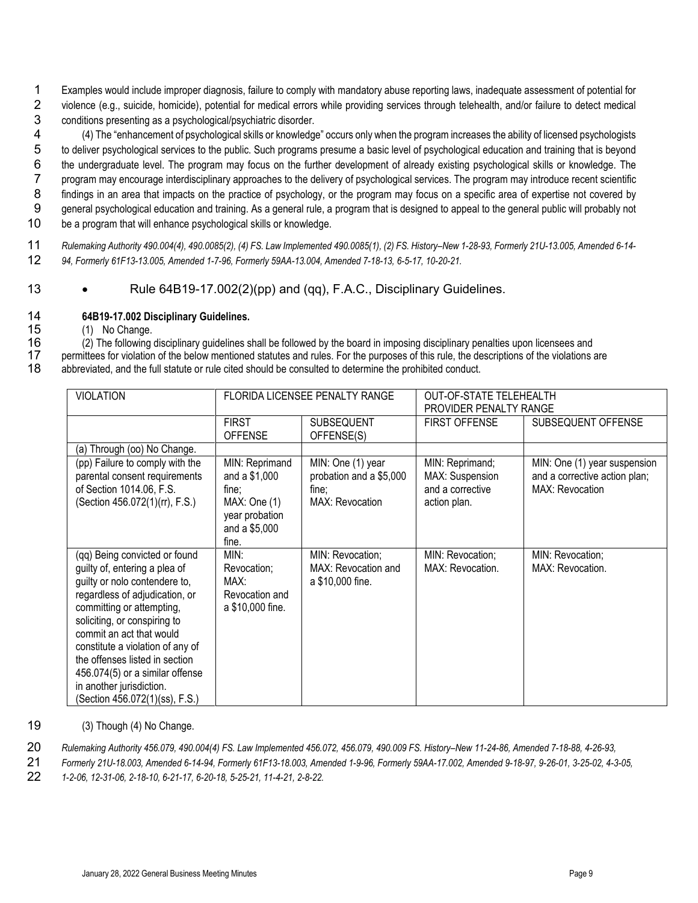1 Examples would include improper diagnosis, failure to comply with mandatory abuse reporting laws, inadequate assessment of potential for 2 violence (e.g., suicide, homicide), potential for medical errors while providing services through telehealth, and/or failure to detect medical<br>3 conditions presenting as a psychological/psychiatric disorder.

3 conditions presenting as a psychological/psychiatric disorder.<br>4 (4) The "enhancement of psychological skills or knowledge (4) The "enhancement of psychological skills or knowledge" occurs only when the program increases the ability of licensed psychologists to deliver psychological services to the public. Such programs presume a basic level of psychological education and training that is beyond the undergraduate level. The program may focus on the further development of already existing psychological skills or knowledge. The program may encourage interdisciplinary approaches to the delivery of psychological services. The program may introduce recent scientific findings in an area that impacts on the practice of psychology, or the program may focus on a specific area of expertise not covered by general psychological education and training. As a general rule, a program that is designed to appeal to the general public will probably not be a program that will enhance psychological skills or knowledge.

11 *Rulemaking Authority 490.004(4), 490.0085(2), (4) FS. Law Implemented 490.0085(1), (2) FS. History–New 1-28-93, Formerly 21U-13.005, Amended 6-14-* 12 *94, Formerly 61F13-13.005, Amended 1-7-96, Formerly 59AA-13.004, Amended 7-18-13, 6-5-17, 10-20-21.*

13 • Rule 64B19-17.002(2)(pp) and (qq), F.A.C., Disciplinary Guidelines.

## 14 **64B19-17.002 Disciplinary Guidelines.**

(1) No Change.

16 (2) The following disciplinary guidelines shall be followed by the board in imposing disciplinary penalties upon licensees and<br>17 permittees for violation of the below mentioned statutes and rules. For the purposes of t 17 permittees for violation of the below mentioned statutes and rules. For the purposes of this rule, the descriptions of the violations are 18<br>18 abbreviated, and the full statute or rule cited should be consulted to dete abbreviated, and the full statute or rule cited should be consulted to determine the prohibited conduct.

| <b>VIOLATION</b>                                                                                                                                                                                                                                                                                                                                                                                  | FLORIDA LICENSEE PENALTY RANGE                                                                       |                                                                                 | <b>OUT-OF-STATE TELEHEALTH</b><br>PROVIDER PENALTY RANGE               |                                                                                         |
|---------------------------------------------------------------------------------------------------------------------------------------------------------------------------------------------------------------------------------------------------------------------------------------------------------------------------------------------------------------------------------------------------|------------------------------------------------------------------------------------------------------|---------------------------------------------------------------------------------|------------------------------------------------------------------------|-----------------------------------------------------------------------------------------|
|                                                                                                                                                                                                                                                                                                                                                                                                   | <b>FIRST</b><br><b>OFFENSE</b>                                                                       | <b>SUBSEQUENT</b><br>OFFENSE(S)                                                 | <b>FIRST OFFENSE</b>                                                   | SUBSEQUENT OFFENSE                                                                      |
| (a) Through (oo) No Change.                                                                                                                                                                                                                                                                                                                                                                       |                                                                                                      |                                                                                 |                                                                        |                                                                                         |
| (pp) Failure to comply with the<br>parental consent requirements<br>of Section 1014.06, F.S.<br>(Section 456.072(1)(rr), F.S.)                                                                                                                                                                                                                                                                    | MIN: Reprimand<br>and a $$1,000$<br>fine;<br>MAX: One(1)<br>year probation<br>and a \$5,000<br>fine. | MIN: One (1) year<br>probation and a \$5,000<br>fine;<br><b>MAX: Revocation</b> | MIN: Reprimand;<br>MAX: Suspension<br>and a corrective<br>action plan. | MIN: One (1) year suspension<br>and a corrective action plan;<br><b>MAX: Revocation</b> |
| (qq) Being convicted or found<br>guilty of, entering a plea of<br>guilty or nolo contendere to,<br>regardless of adjudication, or<br>committing or attempting,<br>soliciting, or conspiring to<br>commit an act that would<br>constitute a violation of any of<br>the offenses listed in section<br>456.074(5) or a similar offense<br>in another jurisdiction.<br>(Section 456.072(1)(ss), F.S.) | MIN:<br>Revocation;<br>MAX:<br>Revocation and<br>a \$10,000 fine.                                    | MIN: Revocation;<br>MAX: Revocation and<br>a \$10,000 fine.                     | MIN: Revocation;<br>MAX: Revocation.                                   | MIN: Revocation;<br>MAX: Revocation.                                                    |

19 (3) Though (4) No Change.

20 *Rulemaking Authority 456.079, 490.004(4) FS. Law Implemented 456.072, 456.079, 490.009 FS. History–New 11-24-86, Amended 7-18-88, 4-26-93,* 

21 *Formerly 21U-18.003, Amended 6-14-94, Formerly 61F13-18.003, Amended 1-9-96, Formerly 59AA-17.002, Amended 9-18-97, 9-26-01, 3-25-02, 4-3-05,* 

22 *1-2-06, 12-31-06, 2-18-10, 6-21-17, 6-20-18, 5-25-21, 11-4-21, 2-8-22.*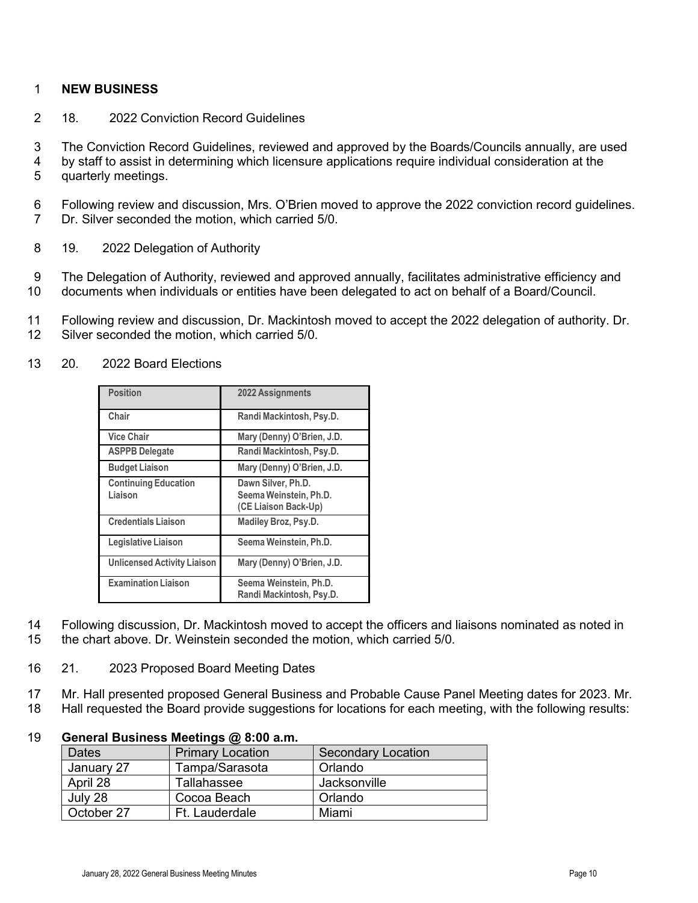#### 1 **NEW BUSINESS**

- 2 18. 2022 Conviction Record Guidelines
- 3 The Conviction Record Guidelines, reviewed and approved by the Boards/Councils annually, are used
- 4 by staff to assist in determining which licensure applications require individual consideration at the 5 quarterly meetings.
- 6 Following review and discussion, Mrs. O'Brien moved to approve the 2022 conviction record guidelines. 7 Dr. Silver seconded the motion, which carried 5/0.
- 8 19. 2022 Delegation of Authority
- 9 The Delegation of Authority, reviewed and approved annually, facilitates administrative efficiency and 10 documents when individuals or entities have been delegated to act on behalf of a Board/Council.
- 11 Following review and discussion, Dr. Mackintosh moved to accept the 2022 delegation of authority. Dr. 12 Silver seconded the motion, which carried 5/0.

| <b>Position</b>                        | 2022 Assignments                                                     |
|----------------------------------------|----------------------------------------------------------------------|
| Chair                                  | Randi Mackintosh, Psy.D.                                             |
| <b>Vice Chair</b>                      | Mary (Denny) O'Brien, J.D.                                           |
| <b>ASPPB Delegate</b>                  | Randi Mackintosh, Psy.D.                                             |
| <b>Budget Liaison</b>                  | Mary (Denny) O'Brien, J.D.                                           |
| <b>Continuing Education</b><br>Liaison | Dawn Silver, Ph.D.<br>Seema Weinstein, Ph.D.<br>(CE Liaison Back-Up) |
| <b>Credentials Liaison</b>             | <b>Madiley Broz, Psy.D.</b>                                          |
| Legislative Liaison                    | Seema Weinstein, Ph.D.                                               |
| <b>Unlicensed Activity Liaison</b>     | Mary (Denny) O'Brien, J.D.                                           |
| <b>Examination Liaison</b>             | Seema Weinstein, Ph.D.<br>Randi Mackintosh, Psy.D.                   |

13 20. 2022 Board Elections

- 14 Following discussion, Dr. Mackintosh moved to accept the officers and liaisons nominated as noted in 15 the chart above. Dr. Weinstein seconded the motion, which carried 5/0.
- 16 21. 2023 Proposed Board Meeting Dates
- 17 Mr. Hall presented proposed General Business and Probable Cause Panel Meeting dates for 2023. Mr.
- 18 Hall requested the Board provide suggestions for locations for each meeting, with the following results:

#### 19 **General Business Meetings @ 8:00 a.m.**

| <b>Dates</b> | <b>Primary Location</b> | <b>Secondary Location</b> |
|--------------|-------------------------|---------------------------|
| January 27   | Tampa/Sarasota          | Orlando                   |
| April 28     | Tallahassee             | Jacksonville              |
| July 28      | Cocoa Beach             | Orlando                   |
| October 27   | Ft. Lauderdale          | Miami                     |